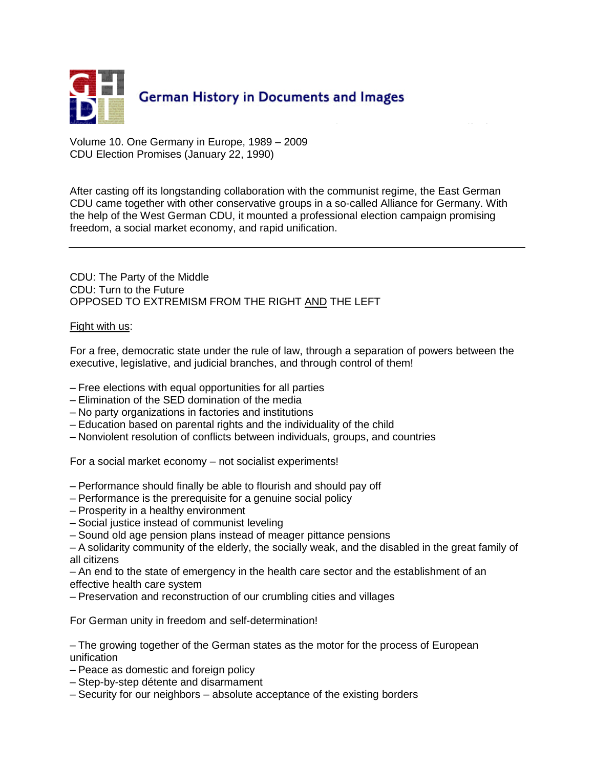

Volume 10. One Germany in Europe, 1989 – 2009 CDU Election Promises (January 22, 1990)

After casting off its longstanding collaboration with the communist regime, the East German CDU came together with other conservative groups in a so-called Alliance for Germany. With the help of the West German CDU, it mounted a professional election campaign promising freedom, a social market economy, and rapid unification.

CDU: The Party of the Middle CDU: Turn to the Future OPPOSED TO EXTREMISM FROM THE RIGHT AND THE LEFT

## Fight with us:

For a free, democratic state under the rule of law, through a separation of powers between the executive, legislative, and judicial branches, and through control of them!

- Free elections with equal opportunities for all parties
- Elimination of the SED domination of the media
- No party organizations in factories and institutions
- Education based on parental rights and the individuality of the child
- Nonviolent resolution of conflicts between individuals, groups, and countries

For a social market economy – not socialist experiments!

- Performance should finally be able to flourish and should pay off
- Performance is the prerequisite for a genuine social policy
- Prosperity in a healthy environment
- Social justice instead of communist leveling
- Sound old age pension plans instead of meager pittance pensions
- A solidarity community of the elderly, the socially weak, and the disabled in the great family of all citizens
- An end to the state of emergency in the health care sector and the establishment of an effective health care system
- Preservation and reconstruction of our crumbling cities and villages

For German unity in freedom and self-determination!

– The growing together of the German states as the motor for the process of European unification

- Peace as domestic and foreign policy
- Step-by-step détente and disarmament
- Security for our neighbors absolute acceptance of the existing borders